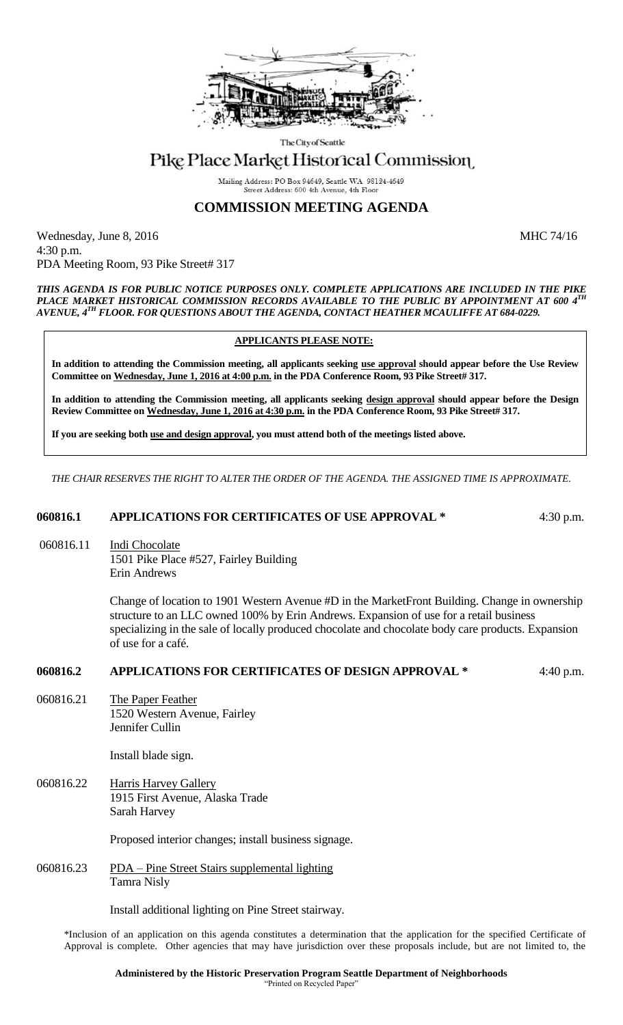

The City of Seattle

# Pike Place Market Historical Commission

Mailing Address: PO Box 94649, Seattle WA 98124-4649 Street Address: 600 4th Avenue, 4th Floor

### **COMMISSION MEETING AGENDA**

Wednesday, June 8, 2016 MHC 74/16 4:30 p.m. PDA Meeting Room, 93 Pike Street# 317

*THIS AGENDA IS FOR PUBLIC NOTICE PURPOSES ONLY. COMPLETE APPLICATIONS ARE INCLUDED IN THE PIKE PLACE MARKET HISTORICAL COMMISSION RECORDS AVAILABLE TO THE PUBLIC BY APPOINTMENT AT 600 4TH AVENUE, 4TH FLOOR. FOR QUESTIONS ABOUT THE AGENDA, CONTACT HEATHER MCAULIFFE AT 684-0229.*

#### **APPLICANTS PLEASE NOTE:**

**In addition to attending the Commission meeting, all applicants seeking use approval should appear before the Use Review Committee on Wednesday, June 1, 2016 at 4:00 p.m. in the PDA Conference Room, 93 Pike Street# 317.**

**In addition to attending the Commission meeting, all applicants seeking design approval should appear before the Design Review Committee on Wednesday, June 1, 2016 at 4:30 p.m. in the PDA Conference Room, 93 Pike Street# 317.** 

**If you are seeking both use and design approval, you must attend both of the meetings listed above.**

*THE CHAIR RESERVES THE RIGHT TO ALTER THE ORDER OF THE AGENDA. THE ASSIGNED TIME IS APPROXIMATE.*

#### **060816.1 APPLICATIONS FOR CERTIFICATES OF USE APPROVAL \*** 4:30 p.m.

060816.11 Indi Chocolate 1501 Pike Place #527, Fairley Building

Erin Andrews

Change of location to 1901 Western Avenue #D in the MarketFront Building. Change in ownership structure to an LLC owned 100% by Erin Andrews. Expansion of use for a retail business specializing in the sale of locally produced chocolate and chocolate body care products. Expansion of use for a café.

#### **060816.2 APPLICATIONS FOR CERTIFICATES OF DESIGN APPROVAL \*** 4:40 p.m.

060816.21 The Paper Feather 1520 Western Avenue, Fairley Jennifer Cullin

Install blade sign.

060816.22 Harris Harvey Gallery 1915 First Avenue, Alaska Trade Sarah Harvey

Proposed interior changes; install business signage.

060816.23 PDA – Pine Street Stairs supplemental lighting Tamra Nisly

Install additional lighting on Pine Street stairway.

\*Inclusion of an application on this agenda constitutes a determination that the application for the specified Certificate of Approval is complete. Other agencies that may have jurisdiction over these proposals include, but are not limited to, the